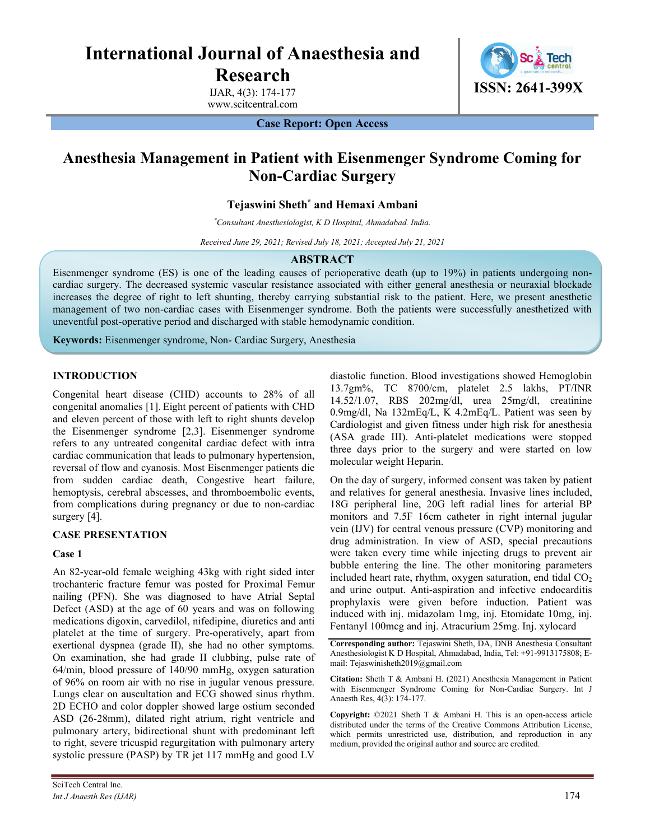# International Journal of Anaesthesia and

Research

IJAR, 4(3): 174-177 www.scitcentral.com



Case Report: Open Access

# Anesthesia Management in Patient with Eisenmenger Syndrome Coming for Non-Cardiac Surgery

Tejaswini Sheth<sup>\*</sup> and Hemaxi Ambani

\*Consultant Anesthesiologist, K D Hospital, Ahmadabad. India.

Received June 29, 2021; Revised July 18, 2021; Accepted July 21, 2021

#### ABSTRACT

Eisenmenger syndrome (ES) is one of the leading causes of perioperative death (up to 19%) in patients undergoing noncardiac surgery. The decreased systemic vascular resistance associated with either general anesthesia or neuraxial blockade increases the degree of right to left shunting, thereby carrying substantial risk to the patient. Here, we present anesthetic management of two non-cardiac cases with Eisenmenger syndrome. Both the patients were successfully anesthetized with uneventful post-operative period and discharged with stable hemodynamic condition.

Keywords: Eisenmenger syndrome, Non- Cardiac Surgery, Anesthesia

# INTRODUCTION

Congenital heart disease (CHD) accounts to 28% of all congenital anomalies [1]. Eight percent of patients with CHD and eleven percent of those with left to right shunts develop the Eisenmenger syndrome [2,3]. Eisenmenger syndrome refers to any untreated congenital cardiac defect with intra cardiac communication that leads to pulmonary hypertension, reversal of flow and cyanosis. Most Eisenmenger patients die from sudden cardiac death, Congestive heart failure, hemoptysis, cerebral abscesses, and thromboembolic events, from complications during pregnancy or due to non-cardiac surgery [4].

# CASE PRESENTATION

# Case 1

An 82-year-old female weighing 43kg with right sided inter trochanteric fracture femur was posted for Proximal Femur nailing (PFN). She was diagnosed to have Atrial Septal Defect (ASD) at the age of 60 years and was on following medications digoxin, carvedilol, nifedipine, diuretics and anti platelet at the time of surgery. Pre-operatively, apart from exertional dyspnea (grade II), she had no other symptoms. On examination, she had grade II clubbing, pulse rate of 64/min, blood pressure of 140/90 mmHg, oxygen saturation of 96% on room air with no rise in jugular venous pressure. Lungs clear on auscultation and ECG showed sinus rhythm. 2D ECHO and color doppler showed large ostium seconded ASD (26-28mm), dilated right atrium, right ventricle and pulmonary artery, bidirectional shunt with predominant left to right, severe tricuspid regurgitation with pulmonary artery systolic pressure (PASP) by TR jet 117 mmHg and good LV

diastolic function. Blood investigations showed Hemoglobin 13.7gm%, TC 8700/cm, platelet 2.5 lakhs, PT/INR 14.52/1.07, RBS 202mg/dl, urea 25mg/dl, creatinine 0.9mg/dl, Na 132mEq/L, K 4.2mEq/L. Patient was seen by Cardiologist and given fitness under high risk for anesthesia (ASA grade III). Anti-platelet medications were stopped three days prior to the surgery and were started on low molecular weight Heparin.

On the day of surgery, informed consent was taken by patient and relatives for general anesthesia. Invasive lines included, 18G peripheral line, 20G left radial lines for arterial BP monitors and 7.5F 16cm catheter in right internal jugular vein (IJV) for central venous pressure (CVP) monitoring and drug administration. In view of ASD, special precautions were taken every time while injecting drugs to prevent air bubble entering the line. The other monitoring parameters included heart rate, rhythm, oxygen saturation, end tidal  $CO<sub>2</sub>$ and urine output. Anti-aspiration and infective endocarditis prophylaxis were given before induction. Patient was induced with inj. midazolam 1mg, inj. Etomidate 10mg, inj. Fentanyl 100mcg and inj. Atracurium 25mg. Inj. xylocard

Corresponding author: Tejaswini Sheth, DA, DNB Anesthesia Consultant Anesthesiologist K D Hospital, Ahmadabad, India, Tel: +91-9913175808; Email: Tejaswinisheth2019@gmail.com

Citation: Sheth T & Ambani H. (2021) Anesthesia Management in Patient with Eisenmenger Syndrome Coming for Non-Cardiac Surgery. Int J Anaesth Res, 4(3): 174-177.

Copyright: ©2021 Sheth T & Ambani H. This is an open-access article distributed under the terms of the Creative Commons Attribution License, which permits unrestricted use, distribution, and reproduction in any medium, provided the original author and source are credited.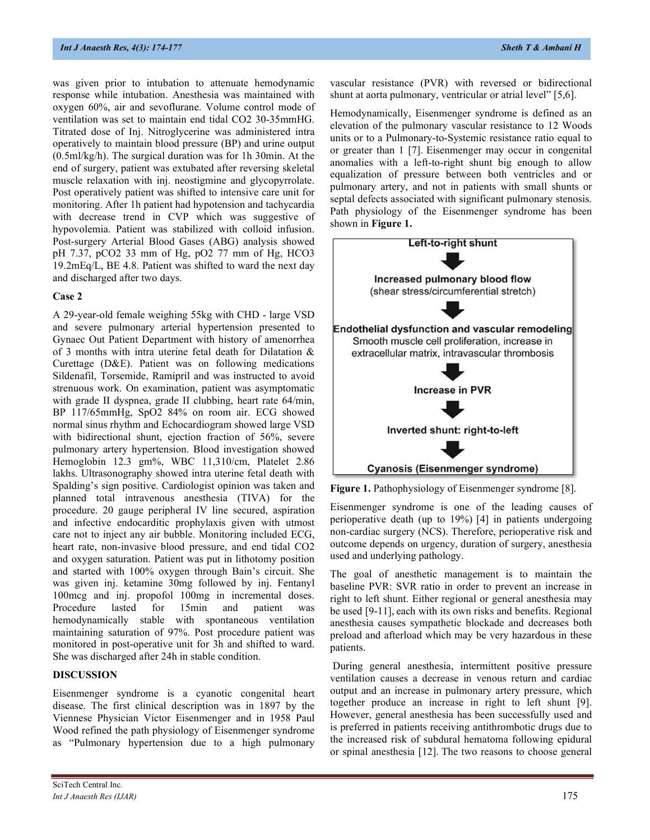was given prior to intubation to attenuate hemodynamic response while intubation. Anesthesia was maintained with oxygen 60%, air and sevoflurane. Volume control mode of ventilation was set to maintain end tidal CO2 30-35mmHG. Titrated dose of Inj. Nitroglycerine was administered intra operatively to maintain blood pressure (BP) and urine output (0.5ml/kg/h). The surgical duration was for 1h 30min. At the end of surgery, patient was extubated after reversing skeletal muscle relaxation with inj. neostigmine and glycopyrrolate. Post operatively patient was shifted to intensive care unit for monitoring. After 1h patient had hypotension and tachycardia with decrease trend in CVP which was suggestive of hypovolemia. Patient was stabilized with colloid infusion. Post-surgery Arterial Blood Gases (ABG) analysis showed pH 7.37, pCO2 33 mm of Hg, pO2 77 mm of Hg, HCO3 19.2mEq/L, BE 4.8. Patient was shifted to ward the next day and discharged after two days.

#### Case 2

A 29-year-old female weighing 55kg with CHD - large VSD and severe pulmonary arterial hypertension presented to Gynaec Out Patient Department with history of amenorrhea of 3 months with intra uterine fetal death for Dilatation & Curettage (D&E). Patient was on following medications Sildenafil, Torsemide, Ramipril and was instructed to avoid strenuous work. On examination, patient was asymptomatic with grade II dyspnea, grade II clubbing, heart rate 64/min, BP 117/65mmHg, SpO2 84% on room air. ECG showed normal sinus rhythm and Echocardiogram showed large VSD with bidirectional shunt, ejection fraction of 56%, severe pulmonary artery hypertension. Blood investigation showed Hemoglobin 12.3 gm%, WBC 11,310/cm, Platelet 2.86 lakhs. Ultrasonography showed intra uterine fetal death with Spalding's sign positive. Cardiologist opinion was taken and planned total intravenous anesthesia (TIVA) for the procedure. 20 gauge peripheral IV line secured, aspiration and infective endocarditic prophylaxis given with utmost care not to inject any air bubble. Monitoring included ECG, heart rate, non-invasive blood pressure, and end tidal CO2 and oxygen saturation. Patient was put in lithotomy position and started with 100% oxygen through Bain's circuit. She was given inj. ketamine 30mg followed by inj. Fentanyl 100mcg and inj. propofol 100mg in incremental doses. Procedure lasted for 15min and patient was hemodynamically stable with spontaneous ventilation maintaining saturation of 97%. Post procedure patient was monitored in post-operative unit for 3h and shifted to ward. She was discharged after 24h in stable condition.

#### DISCUSSION

Eisenmenger syndrome is a cyanotic congenital heart disease. The first clinical description was in 1897 by the Viennese Physician Victor Eisenmenger and in 1958 Paul Wood refined the path physiology of Eisenmenger syndrome as "Pulmonary hypertension due to a high pulmonary

vascular resistance (PVR) with reversed or bidirectional shunt at aorta pulmonary, ventricular or atrial level" [5,6].

Hemodynamically, Eisenmenger syndrome is defined as an elevation of the pulmonary vascular resistance to 12 Woods units or to a Pulmonary-to-Systemic resistance ratio equal to or greater than 1 [7]. Eisenmenger may occur in congenital anomalies with a left-to-right shunt big enough to allow equalization of pressure between both ventricles and or pulmonary artery, and not in patients with small shunts or septal defects associated with significant pulmonary stenosis. Path physiology of the Eisenmenger syndrome has been shown in Figure 1.



Figure 1. Pathophysiology of Eisenmenger syndrome [8].

Eisenmenger syndrome is one of the leading causes of perioperative death (up to 19%) [4] in patients undergoing non-cardiac surgery (NCS). Therefore, perioperative risk and outcome depends on urgency, duration of surgery, anesthesia used and underlying pathology.

The goal of anesthetic management is to maintain the baseline PVR: SVR ratio in order to prevent an increase in right to left shunt. Either regional or general anesthesia may be used [9-11], each with its own risks and benefits. Regional anesthesia causes sympathetic blockade and decreases both preload and afterload which may be very hazardous in these patients.

 During general anesthesia, intermittent positive pressure ventilation causes a decrease in venous return and cardiac output and an increase in pulmonary artery pressure, which together produce an increase in right to left shunt [9]. However, general anesthesia has been successfully used and is preferred in patients receiving antithrombotic drugs due to the increased risk of subdural hematoma following epidural or spinal anesthesia [12]. The two reasons to choose general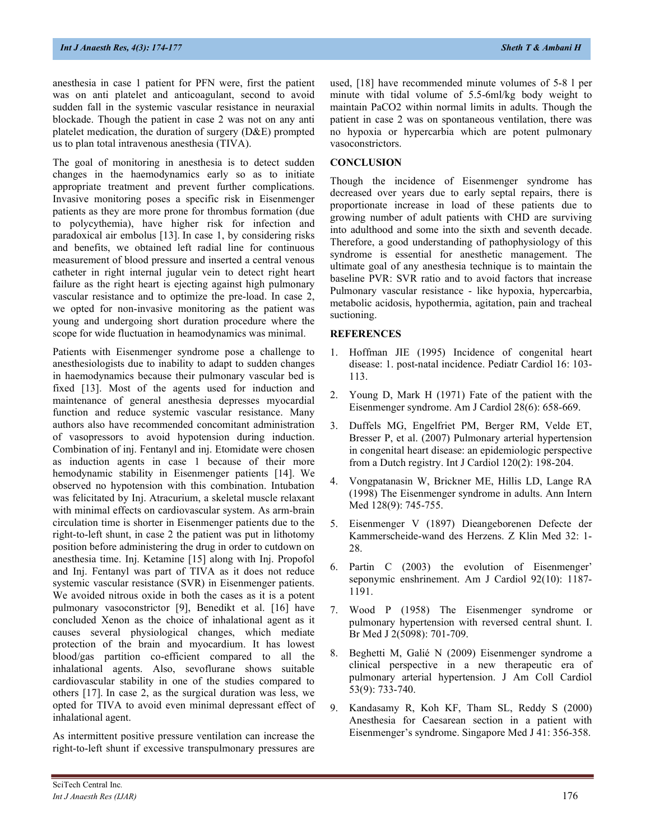anesthesia in case 1 patient for PFN were, first the patient was on anti platelet and anticoagulant, second to avoid sudden fall in the systemic vascular resistance in neuraxial blockade. Though the patient in case 2 was not on any anti platelet medication, the duration of surgery (D&E) prompted us to plan total intravenous anesthesia (TIVA).

The goal of monitoring in anesthesia is to detect sudden changes in the haemodynamics early so as to initiate appropriate treatment and prevent further complications. Invasive monitoring poses a specific risk in Eisenmenger patients as they are more prone for thrombus formation (due to polycythemia), have higher risk for infection and paradoxical air embolus [13]. In case 1, by considering risks and benefits, we obtained left radial line for continuous measurement of blood pressure and inserted a central venous catheter in right internal jugular vein to detect right heart failure as the right heart is ejecting against high pulmonary vascular resistance and to optimize the pre-load. In case 2, we opted for non-invasive monitoring as the patient was young and undergoing short duration procedure where the scope for wide fluctuation in heamodynamics was minimal.

Patients with Eisenmenger syndrome pose a challenge to anesthesiologists due to inability to adapt to sudden changes in haemodynamics because their pulmonary vascular bed is fixed [13]. Most of the agents used for induction and maintenance of general anesthesia depresses myocardial function and reduce systemic vascular resistance. Many authors also have recommended concomitant administration of vasopressors to avoid hypotension during induction. Combination of inj. Fentanyl and inj. Etomidate were chosen as induction agents in case 1 because of their more hemodynamic stability in Eisenmenger patients [14]. We observed no hypotension with this combination. Intubation was felicitated by Inj. Atracurium, a skeletal muscle relaxant with minimal effects on cardiovascular system. As arm-brain circulation time is shorter in Eisenmenger patients due to the right-to-left shunt, in case 2 the patient was put in lithotomy position before administering the drug in order to cutdown on anesthesia time. Inj. Ketamine [15] along with Inj. Propofol and Inj. Fentanyl was part of TIVA as it does not reduce systemic vascular resistance (SVR) in Eisenmenger patients. We avoided nitrous oxide in both the cases as it is a potent pulmonary vasoconstrictor [9], Benedikt et al. [16] have concluded Xenon as the choice of inhalational agent as it causes several physiological changes, which mediate protection of the brain and myocardium. It has lowest blood/gas partition co-efficient compared to all the inhalational agents. Also, sevoflurane shows suitable cardiovascular stability in one of the studies compared to others [17]. In case 2, as the surgical duration was less, we opted for TIVA to avoid even minimal depressant effect of inhalational agent.

As intermittent positive pressure ventilation can increase the right-to-left shunt if excessive transpulmonary pressures are

used, [18] have recommended minute volumes of 5-8 l per minute with tidal volume of 5.5-6ml/kg body weight to maintain PaCO2 within normal limits in adults. Though the patient in case 2 was on spontaneous ventilation, there was no hypoxia or hypercarbia which are potent pulmonary vasoconstrictors.

### **CONCLUSION**

Though the incidence of Eisenmenger syndrome has decreased over years due to early septal repairs, there is proportionate increase in load of these patients due to growing number of adult patients with CHD are surviving into adulthood and some into the sixth and seventh decade. Therefore, a good understanding of pathophysiology of this syndrome is essential for anesthetic management. The ultimate goal of any anesthesia technique is to maintain the baseline PVR: SVR ratio and to avoid factors that increase Pulmonary vascular resistance - like hypoxia, hypercarbia, metabolic acidosis, hypothermia, agitation, pain and tracheal suctioning.

#### **REFERENCES**

- 1. Hoffman JIE (1995) Incidence of congenital heart disease: 1. post-natal incidence. Pediatr Cardiol 16: 103- 113.
- 2. Young D, Mark H (1971) Fate of the patient with the Eisenmenger syndrome. Am J Cardiol 28(6): 658-669.
- 3. Duffels MG, Engelfriet PM, Berger RM, Velde ET, Bresser P, et al. (2007) Pulmonary arterial hypertension in congenital heart disease: an epidemiologic perspective from a Dutch registry. Int J Cardiol 120(2): 198-204.
- 4. Vongpatanasin W, Brickner ME, Hillis LD, Lange RA (1998) The Eisenmenger syndrome in adults. Ann Intern Med 128(9): 745-755.
- 5. Eisenmenger V (1897) Dieangeborenen Defecte der Kammerscheide-wand des Herzens. Z Klin Med 32: 1- 28.
- 6. Partin C (2003) the evolution of Eisenmenger' seponymic enshrinement. Am J Cardiol 92(10): 1187- 1191.
- 7. Wood P (1958) The Eisenmenger syndrome or pulmonary hypertension with reversed central shunt. I. Br Med J 2(5098): 701-709.
- 8. Beghetti M, Galié N (2009) Eisenmenger syndrome a clinical perspective in a new therapeutic era of pulmonary arterial hypertension. J Am Coll Cardiol 53(9): 733-740.
- 9. Kandasamy R, Koh KF, Tham SL, Reddy S (2000) Anesthesia for Caesarean section in a patient with Eisenmenger's syndrome. Singapore Med J 41: 356-358.